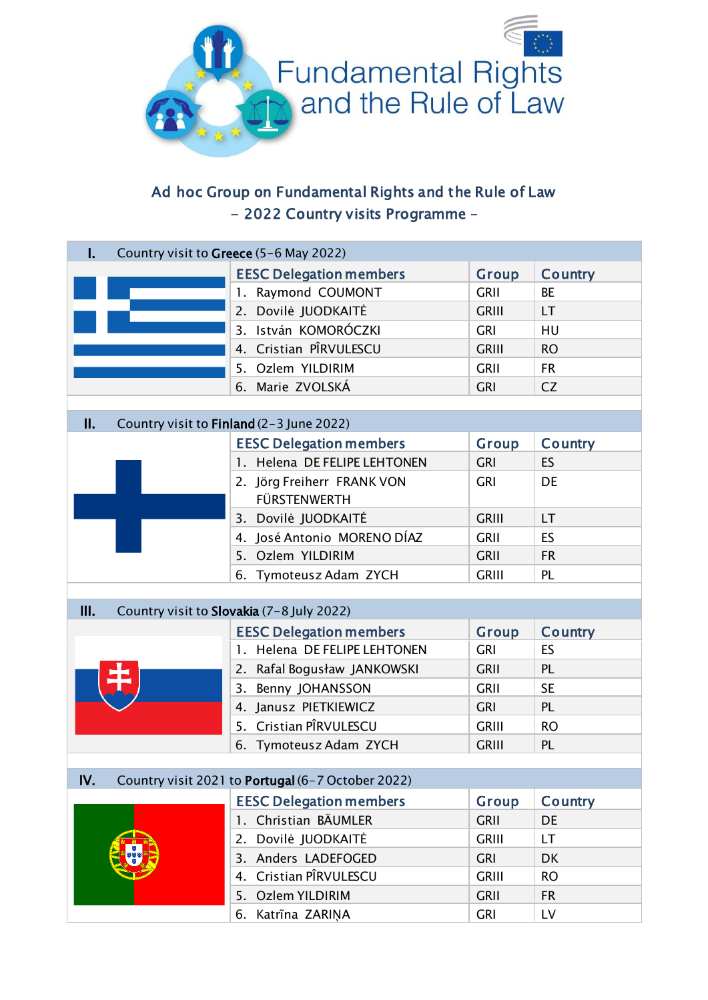

## Ad hoc Group on Fundamental Rights and the Rule of Law - 2022 Country visits Programme –

| Country visit to Greece (5-6 May 2022)<br>ı.   |  |                                                   |              |           |  |
|------------------------------------------------|--|---------------------------------------------------|--------------|-----------|--|
|                                                |  | <b>EESC Delegation members</b>                    | Group        | Country   |  |
|                                                |  | 1. Raymond COUMONT                                | <b>GRII</b>  | <b>BE</b> |  |
|                                                |  | 2. Dovilė JUODKAITĖ                               | <b>GRIII</b> | LT.       |  |
|                                                |  | 3. István KOMORÓCZKI                              | <b>GRI</b>   | HU        |  |
|                                                |  | 4. Cristian PÎRVULESCU                            | <b>GRIII</b> | <b>RO</b> |  |
|                                                |  | 5. Ozlem YILDIRIM                                 | <b>GRII</b>  | <b>FR</b> |  |
|                                                |  | 6. Marie ZVOLSKÁ                                  | <b>GRI</b>   | CZ        |  |
|                                                |  |                                                   |              |           |  |
| П.<br>Country visit to Finland (2-3 June 2022) |  |                                                   |              |           |  |
|                                                |  | <b>EESC Delegation members</b>                    | Group        | Country   |  |
|                                                |  | 1. Helena DE FELIPE LEHTONEN                      | <b>GRI</b>   | ES        |  |
|                                                |  | 2. Jörg Freiherr FRANK VON                        | <b>GRI</b>   | DE        |  |
|                                                |  | <b>FÜRSTENWERTH</b>                               |              |           |  |
|                                                |  | 3. Dovilė JUODKAITĖ                               | <b>GRIII</b> | <b>LT</b> |  |
|                                                |  | 4. José Antonio MORENO DÍAZ                       | <b>GRII</b>  | ES        |  |
|                                                |  | 5. Ozlem YILDIRIM                                 | <b>GRII</b>  | <b>FR</b> |  |
|                                                |  | 6. Tymoteusz Adam ZYCH                            | <b>GRIII</b> | <b>PL</b> |  |
|                                                |  |                                                   |              |           |  |
|                                                |  |                                                   |              |           |  |
| Ш.                                             |  | Country visit to Slovakia (7-8 July 2022)         |              |           |  |
|                                                |  | <b>EESC Delegation members</b>                    | Group        | Country   |  |
|                                                |  | 1. Helena DE FELIPE LEHTONEN                      | <b>GRI</b>   | ES        |  |
|                                                |  | 2. Rafal Bogusław JANKOWSKI                       | <b>GRII</b>  | <b>PL</b> |  |
|                                                |  | 3. Benny JOHANSSON                                | <b>GRII</b>  | <b>SE</b> |  |
|                                                |  | 4. Janusz PIETKIEWICZ                             | <b>GRI</b>   | <b>PL</b> |  |
|                                                |  | 5. Cristian PÎRVULESCU                            | <b>GRIII</b> | <b>RO</b> |  |
|                                                |  | 6. Tymoteusz Adam ZYCH                            | <b>GRIII</b> | <b>PL</b> |  |
|                                                |  |                                                   |              |           |  |
| IV.                                            |  | Country visit 2021 to Portugal (6-7 October 2022) |              |           |  |
|                                                |  | <b>EESC Delegation members</b>                    | <b>Group</b> | Country   |  |
|                                                |  | 1. Christian BÄUMLER                              | <b>GRII</b>  | DE        |  |
|                                                |  | Dovilė JUODKAITĖ<br>2.                            | <b>GRIII</b> | <b>LT</b> |  |
|                                                |  | 3. Anders LADEFOGED                               | <b>GRI</b>   | <b>DK</b> |  |
|                                                |  | Cristian PÎRVULESCU<br>4.                         | <b>GRIII</b> | <b>RO</b> |  |
|                                                |  | 5. Ozlem YILDIRIM                                 | <b>GRII</b>  | <b>FR</b> |  |